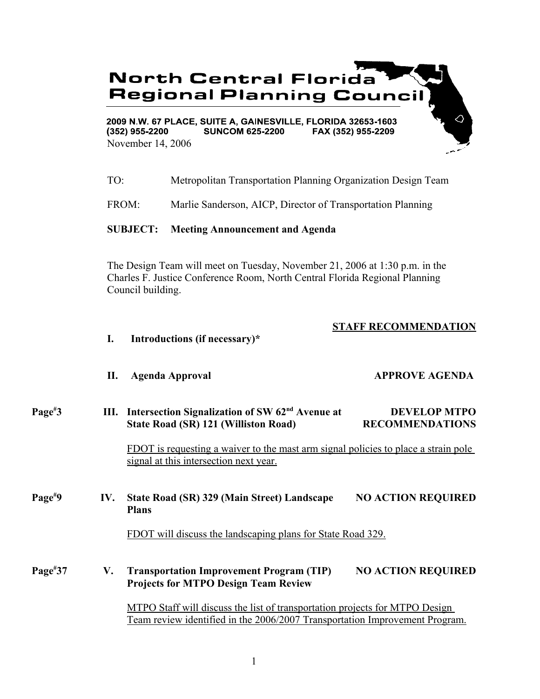# **North Central Florida Regional Planning Counci**

2009 N.W. 67 PLACE, SUITE A, GAINESVILLE, FLORIDA 32653-1603  $(352)$  955-2200 **SUNCOM 625-2200** FAX (352) 955-2209 November 14, 2006

- TO: Metropolitan Transportation Planning Organization Design Team
- FROM: Marlie Sanderson, AICP, Director of Transportation Planning

### **SUBJECT: Meeting Announcement and Agenda**

**I. Introductions (if necessary)\***

The Design Team will meet on Tuesday, November 21, 2006 at 1:30 p.m. in the Charles F. Justice Conference Room, North Central Florida Regional Planning Council building.

# **STAFF RECOMMENDATION**

 $\overline{Q}$ 

|                     | П.  | <b>Agenda Approval</b>                                                                                                                                     | <b>APPROVE AGENDA</b>                         |
|---------------------|-----|------------------------------------------------------------------------------------------------------------------------------------------------------------|-----------------------------------------------|
| Page <sup>#</sup> 3 |     | III. Intersection Signalization of SW 62 <sup>nd</sup> Avenue at<br><b>State Road (SR) 121 (Williston Road)</b>                                            | <b>DEVELOP MTPO</b><br><b>RECOMMENDATIONS</b> |
|                     |     | <u>FDOT is requesting a waiver to the mast arm signal policies to place a strain pole</u><br>signal at this intersection next year.                        |                                               |
| Page <sup>#9</sup>  | IV. | <b>State Road (SR) 329 (Main Street) Landscape</b><br><b>Plans</b>                                                                                         | <b>NO ACTION REQUIRED</b>                     |
|                     |     | FDOT will discuss the landscaping plans for State Road 329.                                                                                                |                                               |
| $Page^{\#}37$       | V.  | <b>Transportation Improvement Program (TIP)</b><br><b>Projects for MTPO Design Team Review</b>                                                             | <b>NO ACTION REQUIRED</b>                     |
|                     |     | MTPO Staff will discuss the list of transportation projects for MTPO Design<br>Team review identified in the 2006/2007 Transportation Improvement Program. |                                               |